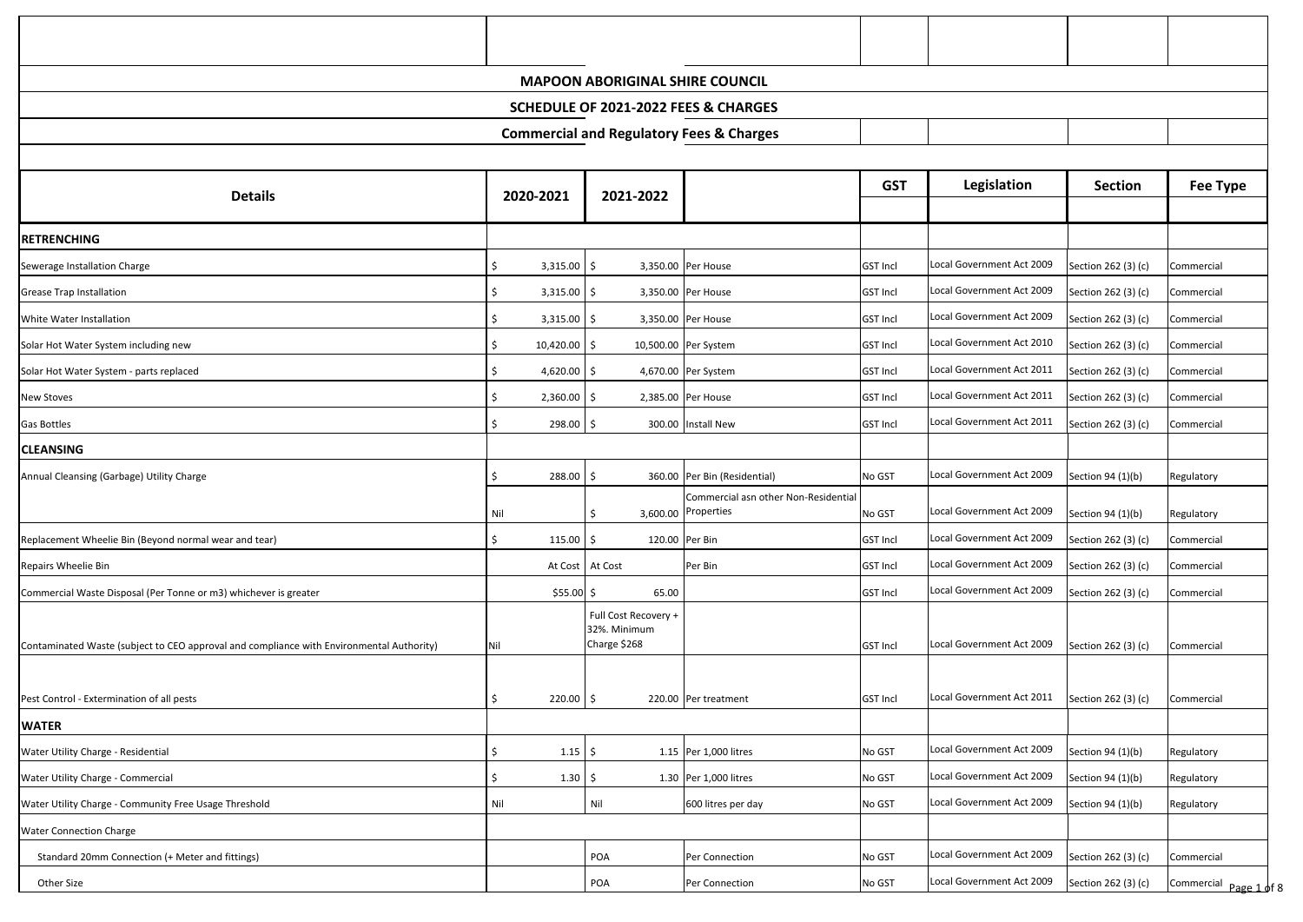|                                                                                          |          |                | <b>MAPOON ABORIGINAL SHIRE COUNCIL</b> |                                                             |                           |                           |                                            |                          |
|------------------------------------------------------------------------------------------|----------|----------------|----------------------------------------|-------------------------------------------------------------|---------------------------|---------------------------|--------------------------------------------|--------------------------|
|                                                                                          |          |                | SCHEDULE OF 2021-2022 FEES & CHARGES   |                                                             |                           |                           |                                            |                          |
|                                                                                          |          |                |                                        | <b>Commercial and Regulatory Fees &amp; Charges</b>         |                           |                           |                                            |                          |
|                                                                                          |          |                |                                        |                                                             |                           |                           |                                            |                          |
| <b>Details</b>                                                                           |          | 2020-2021      | 2021-2022                              |                                                             | <b>GST</b>                | Legislation               | <b>Section</b>                             | Fee Type                 |
| <b>RETRENCHING</b>                                                                       |          |                |                                        |                                                             |                           |                           |                                            |                          |
| Sewerage Installation Charge                                                             | Ś        | $3,315.00$ \$  |                                        | 3,350.00 Per House                                          | <b>GST Incl</b>           | Local Government Act 2009 | Section 262 (3) (c)                        | Commercial               |
| <b>Grease Trap Installation</b>                                                          | Ś        | $3,315.00$ \$  |                                        | 3,350.00 Per House                                          | <b>GST Incl</b>           | Local Government Act 2009 | Section 262 (3) (c)                        | Commercial               |
| <b>White Water Installation</b>                                                          | Ś        | $3,315.00$ \$  |                                        | 3,350.00 Per House                                          | <b>GST Incl</b>           | Local Government Act 2009 | Section 262 (3) (c)                        | Commercial               |
| Solar Hot Water System including new                                                     | Ś        | $10,420.00$ \$ |                                        | 10,500.00 Per System                                        | <b>GST Incl</b>           | Local Government Act 2010 | Section 262 (3) (c)                        | Commercial               |
| Solar Hot Water System - parts replaced                                                  |          | 4,620.00       |                                        | 4,670.00 Per System                                         | <b>GST Incl</b>           | Local Government Act 2011 | Section 262 (3) (c)                        | Commercial               |
| <b>New Stoves</b>                                                                        |          | 2,360.00       |                                        | 2,385.00 Per House                                          | <b>GST Incl</b>           | Local Government Act 2011 | Section 262 (3) (c)                        | Commercial               |
| <b>Gas Bottles</b>                                                                       |          | 298.00 \$      |                                        | 300.00 Install New                                          | <b>GST Incl</b>           | Local Government Act 2011 | Section 262 (3) (c)                        | Commercial               |
| <b>CLEANSING</b>                                                                         |          |                |                                        |                                                             |                           |                           |                                            |                          |
| Annual Cleansing (Garbage) Utility Charge                                                |          | 288.00         |                                        | 360.00 Per Bin (Residential)                                | No GST                    | Local Government Act 2009 | Section 94 (1)(b)                          | Regulatory               |
|                                                                                          |          |                |                                        | Commercial asn other Non-Residential<br>3,600.00 Properties |                           | Local Government Act 2009 |                                            |                          |
| Replacement Wheelie Bin (Beyond normal wear and tear)                                    | Nil<br>Ś | 115.00         |                                        | 120.00 Per Bin                                              | No GST<br><b>GST Incl</b> | Local Government Act 2009 | Section 94 (1)(b)                          | Regulatory<br>Commercial |
| Repairs Wheelie Bin                                                                      |          |                | -S                                     |                                                             |                           | Local Government Act 2009 | Section 262 (3) (c)<br>Section 262 (3) (c) |                          |
|                                                                                          |          |                | At Cost At Cost                        | Per Bin                                                     | <b>GST Incl</b>           | Local Government Act 2009 |                                            | Commercial               |
| Commercial Waste Disposal (Per Tonne or m3) whichever is greater                         |          | $$55.00$ \$    | 65.00<br>Full Cost Recovery +          |                                                             | <b>GST Incl</b>           |                           | Section 262 (3) (c)                        | Commercial               |
|                                                                                          |          |                | 32%. Minimum<br>Charge \$268           |                                                             |                           | Local Government Act 2009 |                                            |                          |
| Contaminated Waste (subject to CEO approval and compliance with Environmental Authority) | Nil      |                |                                        |                                                             | <b>GST Incl</b>           |                           | Section 262 (3) (c)                        | Commercial               |
|                                                                                          |          |                |                                        |                                                             |                           |                           |                                            |                          |
| Pest Control - Extermination of all pests                                                |          | $220.00$ \$    |                                        | 220.00 Per treatment                                        | <b>GST Incl</b>           | Local Government Act 2011 | Section 262 (3) (c)                        | Commercial               |
| <b>WATER</b>                                                                             |          |                |                                        |                                                             |                           |                           |                                            |                          |
| Water Utility Charge - Residential                                                       | Ś.       | 1.15           | \$                                     | 1.15 Per 1,000 litres                                       | No GST                    | Local Government Act 2009 | Section 94 (1)(b)                          | Regulatory               |
| Water Utility Charge - Commercial                                                        | Ś.       | 1.30           |                                        | 1.30 Per 1,000 litres                                       | No GST                    | Local Government Act 2009 | Section 94 (1)(b)                          | Regulatory               |
| Water Utility Charge - Community Free Usage Threshold                                    | Nil      |                | Nil                                    | 600 litres per day                                          | No GST                    | Local Government Act 2009 | Section 94 (1)(b)                          | Regulatory               |
| <b>Water Connection Charge</b>                                                           |          |                |                                        |                                                             |                           |                           |                                            |                          |
| Standard 20mm Connection (+ Meter and fittings)                                          |          |                | POA                                    | Per Connection                                              | No GST                    | Local Government Act 2009 | Section 262 (3) (c)                        | Commercial               |
| Other Size                                                                               |          |                | POA                                    | Per Connection                                              | No GST                    | Local Government Act 2009 | Section 262 (3) (c)                        | Commercial Page 1 of 8   |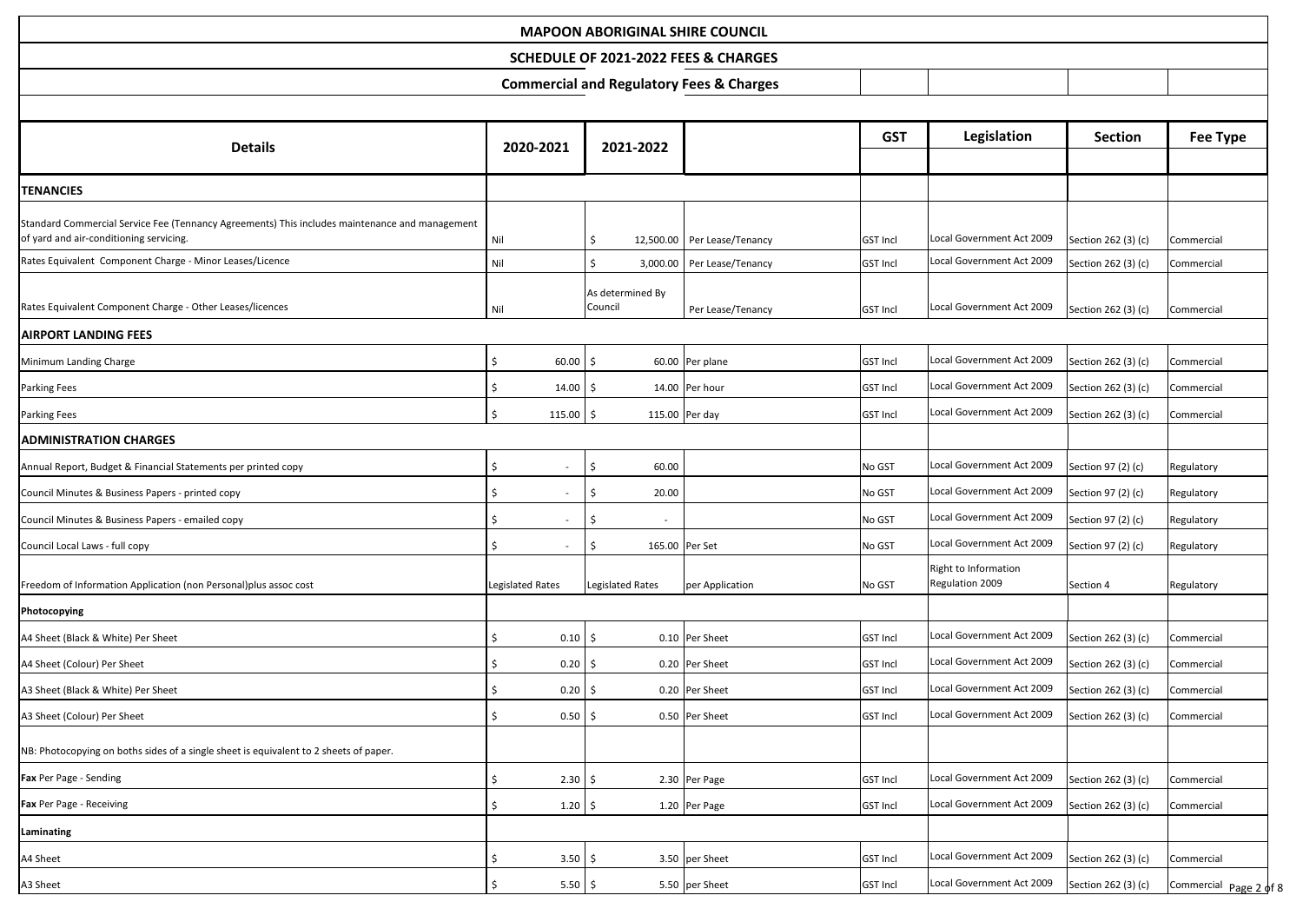# **SCHEDULE OF 2021-2022 FEES & CHARGES**

| <b>Details</b>                                                                                                                            | 2020-2021                     | 2021-2022                   |                             | <b>GST</b>      | Legislation                             | <b>Section</b>      | <b>Fee Type</b>        |
|-------------------------------------------------------------------------------------------------------------------------------------------|-------------------------------|-----------------------------|-----------------------------|-----------------|-----------------------------------------|---------------------|------------------------|
|                                                                                                                                           |                               |                             |                             |                 |                                         |                     |                        |
| <b>TENANCIES</b>                                                                                                                          |                               |                             |                             |                 |                                         |                     |                        |
| Standard Commercial Service Fee (Tennancy Agreements) This includes maintenance and management<br>of yard and air-conditioning servicing. | Nil                           | Ŝ.                          | 12,500.00 Per Lease/Tenancy | <b>GST Incl</b> | Local Government Act 2009               | Section 262 (3) (c) | Commercial             |
| Rates Equivalent Component Charge - Minor Leases/Licence                                                                                  | Nil                           | Ś.                          | 3,000.00 Per Lease/Tenancy  | <b>GST Incl</b> | Local Government Act 2009               | Section 262 (3) (c) | Commercial             |
| Rates Equivalent Component Charge - Other Leases/licences                                                                                 | Nil                           | As determined By<br>Council | Per Lease/Tenancy           | <b>GST Incl</b> | Local Government Act 2009               | Section 262 (3) (c) | Commercial             |
| <b>AIRPORT LANDING FEES</b>                                                                                                               |                               |                             |                             |                 |                                         |                     |                        |
| Minimum Landing Charge                                                                                                                    | 60.00<br>Ś.                   | Ŝ.                          | 60.00 Per plane             | <b>GST Incl</b> | Local Government Act 2009               | Section 262 (3) (c) | Commercial             |
| <b>Parking Fees</b>                                                                                                                       | 14.00                         | .S                          | 14.00 Per hour              | <b>GST Incl</b> | Local Government Act 2009               | Section 262 (3) (c) | Commercial             |
| <b>Parking Fees</b>                                                                                                                       | $115.00$   \$<br>Ś.           |                             | 115.00 Per day              | <b>GST Incl</b> | Local Government Act 2009               | Section 262 (3) (c) | Commercial             |
| <b>ADMINISTRATION CHARGES</b>                                                                                                             |                               |                             |                             |                 |                                         |                     |                        |
| Annual Report, Budget & Financial Statements per printed copy                                                                             | Ś                             | 60.00<br>Ś                  |                             | No GST          | Local Government Act 2009               | Section 97 (2) (c)  | Regulatory             |
| Council Minutes & Business Papers - printed copy                                                                                          | Ś                             | 20.00                       |                             | No GST          | Local Government Act 2009               | Section 97 (2) (c)  | Regulatory             |
| Council Minutes & Business Papers - emailed copy                                                                                          | Ś<br>$\overline{\phantom{a}}$ | $\sim$                      |                             | No GST          | Local Government Act 2009               | Section 97 (2) (c)  | Regulatory             |
| Council Local Laws - full copy                                                                                                            | Ś<br>$\overline{\phantom{a}}$ |                             | 165.00 Per Set              | No GST          | Local Government Act 2009               | Section 97 (2) (c)  | Regulatory             |
| Freedom of Information Application (non Personal)plus assoc cost                                                                          | Legislated Rates              | <b>Legislated Rates</b>     | per Application             | No GST          | Right to Information<br>Regulation 2009 | Section 4           | Regulatory             |
| Photocopying                                                                                                                              |                               |                             |                             |                 |                                         |                     |                        |
| A4 Sheet (Black & White) Per Sheet                                                                                                        | \$<br>0.10                    | \$                          | 0.10 Per Sheet              | <b>GST Incl</b> | Local Government Act 2009               | Section 262 (3) (c) | Commercial             |
| A4 Sheet (Colour) Per Sheet                                                                                                               | 0.20<br>Ś                     | \$                          | 0.20 Per Sheet              | <b>GST Incl</b> | Local Government Act 2009               | Section 262 (3) (c) | Commercial             |
| A3 Sheet (Black & White) Per Sheet                                                                                                        | Ś<br>0.20                     | \$                          | 0.20 Per Sheet              | <b>GST Incl</b> | Local Government Act 2009               | Section 262 (3) (c) | Commercial             |
| A3 Sheet (Colour) Per Sheet                                                                                                               | Ś<br>0.50                     | -\$                         | 0.50 Per Sheet              | <b>GST Incl</b> | Local Government Act 2009               | Section 262 (3) (c) | Commercial             |
| NB: Photocopying on boths sides of a single sheet is equivalent to 2 sheets of paper.                                                     |                               |                             |                             |                 |                                         |                     |                        |
| Fax Per Page - Sending                                                                                                                    | 2.30                          | \$                          | 2.30 Per Page               | <b>GST Incl</b> | Local Government Act 2009               | Section 262 (3) (c) | Commercial             |
| Fax Per Page - Receiving                                                                                                                  | $1.20 \,$ \$<br>Ś             |                             | 1.20 Per Page               | <b>GST Incl</b> | Local Government Act 2009               | Section 262 (3) (c) | Commercial             |
| Laminating                                                                                                                                |                               |                             |                             |                 |                                         |                     |                        |
| A4 Sheet                                                                                                                                  | 3.50                          | \$                          | 3.50 per Sheet              | <b>GST Incl</b> | Local Government Act 2009               | Section 262 (3) (c) | Commercial             |
| A3 Sheet                                                                                                                                  | $5.50$ \$                     |                             | 5.50 per Sheet              | <b>GST Incl</b> | Local Government Act 2009               | Section 262 (3) (c) | Commercial Page 2 of 8 |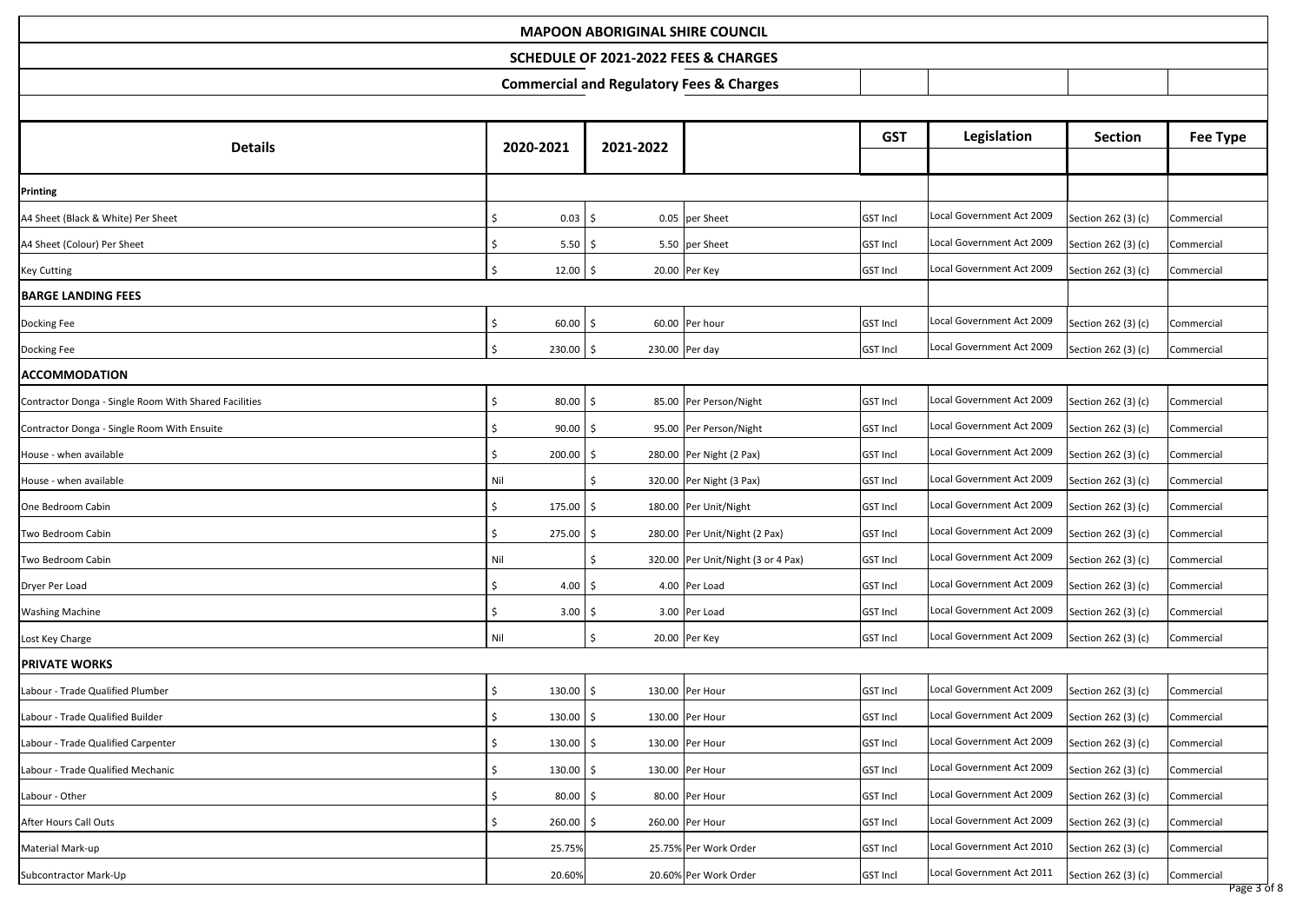# **SCHEDULE OF 2021-2022 FEES & CHARGES**

| <b>MAPOON ABORIGINAL SHIRE COUNCIL</b> |  |
|----------------------------------------|--|
|----------------------------------------|--|

| <b>Details</b>                                        | 2020-2021             | 2021-2022 |                                    | <b>GST</b>      | Legislation               | <b>Section</b>      | <b>Fee Type</b>           |
|-------------------------------------------------------|-----------------------|-----------|------------------------------------|-----------------|---------------------------|---------------------|---------------------------|
| Printing                                              |                       |           |                                    |                 |                           |                     |                           |
| A4 Sheet (Black & White) Per Sheet                    | $0.03 \, \vert \, \$$ |           | 0.05 per Sheet                     | <b>GST Incl</b> | Local Government Act 2009 | Section 262 (3) (c) | Commercial                |
| A4 Sheet (Colour) Per Sheet                           | $5.50$ \$             |           | 5.50 per Sheet                     | <b>GST Incl</b> | Local Government Act 2009 | Section 262 (3) (c) | Commercial                |
| <b>Key Cutting</b>                                    | $12.00$ \$<br>Ŝ.      |           | 20.00 Per Key                      | <b>GST Incl</b> | Local Government Act 2009 | Section 262 (3) (c) | Commercial                |
| <b>BARGE LANDING FEES</b>                             |                       |           |                                    |                 |                           |                     |                           |
| Docking Fee                                           | $60.00$ \$            |           | 60.00 Per hour                     | <b>GST Incl</b> | Local Government Act 2009 | Section 262 (3) (c) | Commercial                |
| Docking Fee                                           | $230.00$ \$<br>Ŝ.     |           | 230.00 Per day                     | <b>GST Incl</b> | Local Government Act 2009 | Section 262 (3) (c) | Commercial                |
| <b>ACCOMMODATION</b>                                  |                       |           |                                    |                 |                           |                     |                           |
| Contractor Donga - Single Room With Shared Facilities | $80.00$ \$            |           | 85.00 Per Person/Night             | <b>GST Incl</b> | Local Government Act 2009 | Section 262 (3) (c) | Commercial                |
| Contractor Donga - Single Room With Ensuite           | $90.00$ \$            |           | 95.00 Per Person/Night             | <b>GST Incl</b> | Local Government Act 2009 | Section 262 (3) (c) | Commercial                |
| House - when available                                | $200.00$ \$           |           | 280.00 Per Night (2 Pax)           | <b>GST Incl</b> | Local Government Act 2009 | Section 262 (3) (c) | Commercial                |
| House - when available                                | Nil                   |           | 320.00 Per Night (3 Pax)           | <b>GST Incl</b> | Local Government Act 2009 | Section 262 (3) (c) | Commercial                |
| One Bedroom Cabin                                     | $175.00$   \$         |           | 180.00 Per Unit/Night              | <b>GST Incl</b> | Local Government Act 2009 | Section 262 (3) (c) | Commercial                |
| Two Bedroom Cabin                                     | $275.00$ \$           |           | 280.00 Per Unit/Night (2 Pax)      | <b>GST Incl</b> | Local Government Act 2009 | Section 262 (3) (c) | Commercial                |
| Two Bedroom Cabin                                     | Nil                   |           | 320.00 Per Unit/Night (3 or 4 Pax) | <b>GST Incl</b> | Local Government Act 2009 | Section 262 (3) (c) | Commercial                |
| Dryer Per Load                                        | $4.00$ \$             |           | 4.00 Per Load                      | <b>GST Incl</b> | Local Government Act 2009 | Section 262 (3) (c) | Commercial                |
| <b>Washing Machine</b>                                | $3.00$ \$<br>-S       |           | 3.00 Per Load                      | <b>GST Incl</b> | Local Government Act 2009 | Section 262 (3) (c) | Commercial                |
| Lost Key Charge                                       | Nil                   | -S        | 20.00 Per Key                      | <b>GST Incl</b> | Local Government Act 2009 | Section 262 (3) (c) | Commercial                |
| <b>PRIVATE WORKS</b>                                  |                       |           |                                    |                 |                           |                     |                           |
| Labour - Trade Qualified Plumber                      | $130.00$ \$<br>\$.    |           | 130.00 Per Hour                    | <b>GST Incl</b> | Local Government Act 2009 | Section 262 (3) (c) | Commercial                |
| Labour - Trade Qualified Builder                      | $130.00$   \$         |           | 130.00 Per Hour                    | <b>GST Incl</b> | Local Government Act 2009 | Section 262 (3) (c) | Commercial                |
| Labour - Trade Qualified Carpenter                    | $130.00$ \$           |           | 130.00 Per Hour                    | <b>GST Incl</b> | Local Government Act 2009 | Section 262 (3) (c) | Commercial                |
| Labour - Trade Qualified Mechanic                     | $130.00$ \$           |           | 130.00 Per Hour                    | <b>GST Incl</b> | Local Government Act 2009 | Section 262 (3) (c) | Commercial                |
| Labour - Other                                        | $80.00$ \$            |           | 80.00 Per Hour                     | <b>GST Incl</b> | Local Government Act 2009 | Section 262 (3) (c) | Commercial                |
| After Hours Call Outs                                 | $260.00$ \$<br>\$.    |           | 260.00 Per Hour                    | <b>GST Incl</b> | Local Government Act 2009 | Section 262 (3) (c) | Commercial                |
| Material Mark-up                                      | 25.75%                |           | 25.75% Per Work Order              | <b>GST Incl</b> | Local Government Act 2010 | Section 262 (3) (c) | Commercial                |
| Subcontractor Mark-Up                                 | 20.60%                |           | 20.60% Per Work Order              | <b>GST Incl</b> | Local Government Act 2011 | Section 262 (3) (c) | Commercial<br>Page 3 of 8 |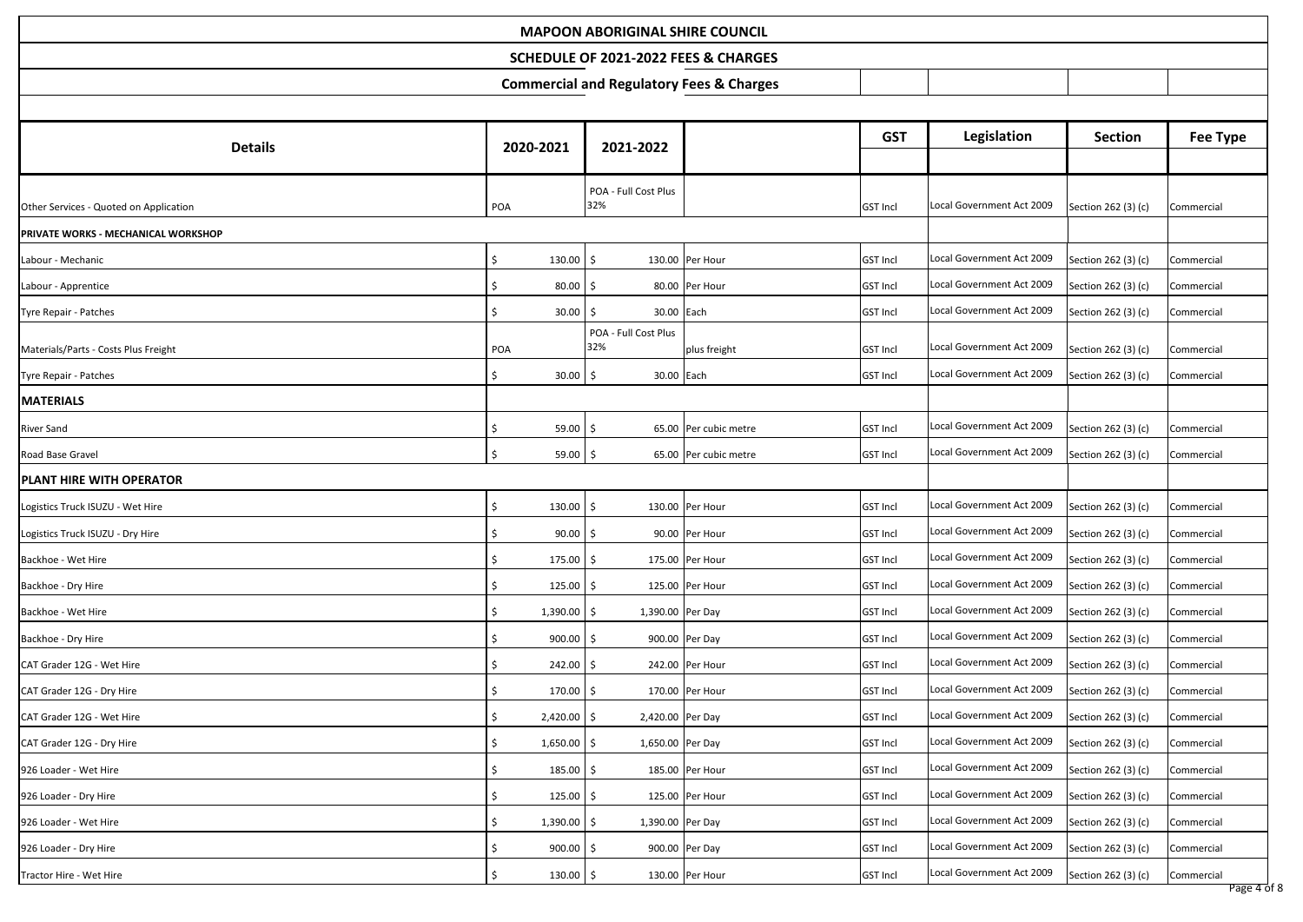# **SCHEDULE OF 2021-2022 FEES & CHARGES**

| <b>Details</b>                             | 2020-2021                    | 2021-2022                   |                       | <b>GST</b>      | Legislation               | <b>Section</b>      | <b>Fee Type</b>           |
|--------------------------------------------|------------------------------|-----------------------------|-----------------------|-----------------|---------------------------|---------------------|---------------------------|
|                                            |                              | POA - Full Cost Plus        |                       |                 |                           |                     |                           |
| Other Services - Quoted on Application     | POA                          | 32%                         |                       | <b>GST Incl</b> | Local Government Act 2009 | Section 262 (3) (c) | Commercial                |
| <b>PRIVATE WORKS - MECHANICAL WORKSHOP</b> |                              |                             |                       |                 |                           |                     |                           |
| Labour - Mechanic                          | $130.00$ \$                  |                             | 130.00 Per Hour       | <b>GST Incl</b> | Local Government Act 2009 | Section 262 (3) (c) | Commercial                |
| Labour - Apprentice                        |                              | $80.00$ \$                  | 80.00 Per Hour        | <b>GST Incl</b> | Local Government Act 2009 | Section 262 (3) (c) | Commercial                |
| Tyre Repair - Patches                      |                              | 30.00 Each<br>$30.00$ \$    |                       | <b>GST Incl</b> | Local Government Act 2009 | Section 262 (3) (c) | Commercial                |
|                                            |                              | POA - Full Cost Plus<br>32% |                       |                 | Local Government Act 2009 |                     |                           |
| Materials/Parts - Costs Plus Freight       | POA                          |                             | plus freight          | <b>GST Incl</b> | Local Government Act 2009 | Section 262 (3) (c) | Commercial                |
| Tyre Repair - Patches                      |                              | $30.00$ \$<br>30.00 Each    |                       | <b>GST Incl</b> |                           | Section 262 (3) (c) | Commercial                |
| <b>MATERIALS</b>                           |                              |                             |                       |                 |                           |                     |                           |
| <b>River Sand</b>                          |                              | 59.00                       | 65.00 Per cubic metre | <b>GST Incl</b> | Local Government Act 2009 | Section 262 (3) (c) | Commercial                |
| Road Base Gravel                           | Ś.                           | $59.00$ \$                  | 65.00 Per cubic metre | <b>GST Incl</b> | Local Government Act 2009 | Section 262 (3) (c) | Commercial                |
| <b>PLANT HIRE WITH OPERATOR</b>            |                              |                             |                       |                 |                           |                     |                           |
| Logistics Truck ISUZU - Wet Hire           | $130.00$ $\frac{1}{2}$<br>\$ |                             | 130.00 Per Hour       | <b>GST Incl</b> | Local Government Act 2009 | Section 262 (3) (c) | Commercial                |
| Logistics Truck ISUZU - Dry Hire           |                              | $90.00$ \$                  | 90.00 Per Hour        | <b>GST Incl</b> | Local Government Act 2009 | Section 262 (3) (c) | Commercial                |
| Backhoe - Wet Hire                         | $175.00$ \$                  |                             | 175.00 Per Hour       | <b>GST Incl</b> | Local Government Act 2009 | Section 262 (3) (c) | Commercial                |
| Backhoe - Dry Hire                         | $125.00$ $\mid$              |                             | 125.00 Per Hour       | <b>GST Incl</b> | Local Government Act 2009 | Section 262 (3) (c) | Commercial                |
| Backhoe - Wet Hire                         | \$<br>$1,390.00$ \$          | 1,390.00 Per Day            |                       | <b>GST Incl</b> | Local Government Act 2009 | Section 262 (3) (c) | Commercial                |
| Backhoe - Dry Hire                         | $900.00$ \$<br>S.            |                             | 900.00 Per Day        | <b>GST Incl</b> | Local Government Act 2009 | Section 262 (3) (c) | Commercial                |
| CAT Grader 12G - Wet Hire                  | $242.00$ \$<br>\$            |                             | 242.00 Per Hour       | <b>GST Incl</b> | Local Government Act 2009 | Section 262 (3) (c) | Commercial                |
| CAT Grader 12G - Dry Hire                  | $170.00$ \$<br>\$            |                             | 170.00 Per Hour       | <b>GST Incl</b> | Local Government Act 2009 | Section 262 (3) (c) | Commercial                |
| CAT Grader 12G - Wet Hire                  | $2,420.00$ \$<br>\$.         | 2,420.00 Per Day            |                       | <b>GST Incl</b> | Local Government Act 2009 | Section 262 (3) (c) | Commercial                |
| CAT Grader 12G - Dry Hire                  | $1,650.00$ \$<br>\$.         | 1,650.00 Per Day            |                       | <b>GST Incl</b> | Local Government Act 2009 | Section 262 (3) (c) | Commercial                |
| 926 Loader - Wet Hire                      | $185.00$ \$<br>S.            |                             | 185.00 Per Hour       | <b>GST Incl</b> | Local Government Act 2009 | Section 262 (3) (c) | Commercial                |
| 926 Loader - Dry Hire                      | $125.00$ \$<br>\$.           |                             | 125.00 Per Hour       | <b>GST Incl</b> | Local Government Act 2009 | Section 262 (3) (c) | Commercial                |
| 926 Loader - Wet Hire                      | $1,390.00$ \$<br>\$.         | 1,390.00 Per Day            |                       | <b>GST Incl</b> | Local Government Act 2009 | Section 262 (3) (c) | Commercial                |
| 926 Loader - Dry Hire                      | $900.00$ \$                  |                             | 900.00 Per Day        | <b>GST Incl</b> | Local Government Act 2009 | Section 262 (3) (c) | Commercial                |
| Tractor Hire - Wet Hire                    | $130.00$ \$<br>\$.           |                             | 130.00 Per Hour       | <b>GST Incl</b> | Local Government Act 2009 | Section 262 (3) (c) | Commercial<br>Page 4 of 8 |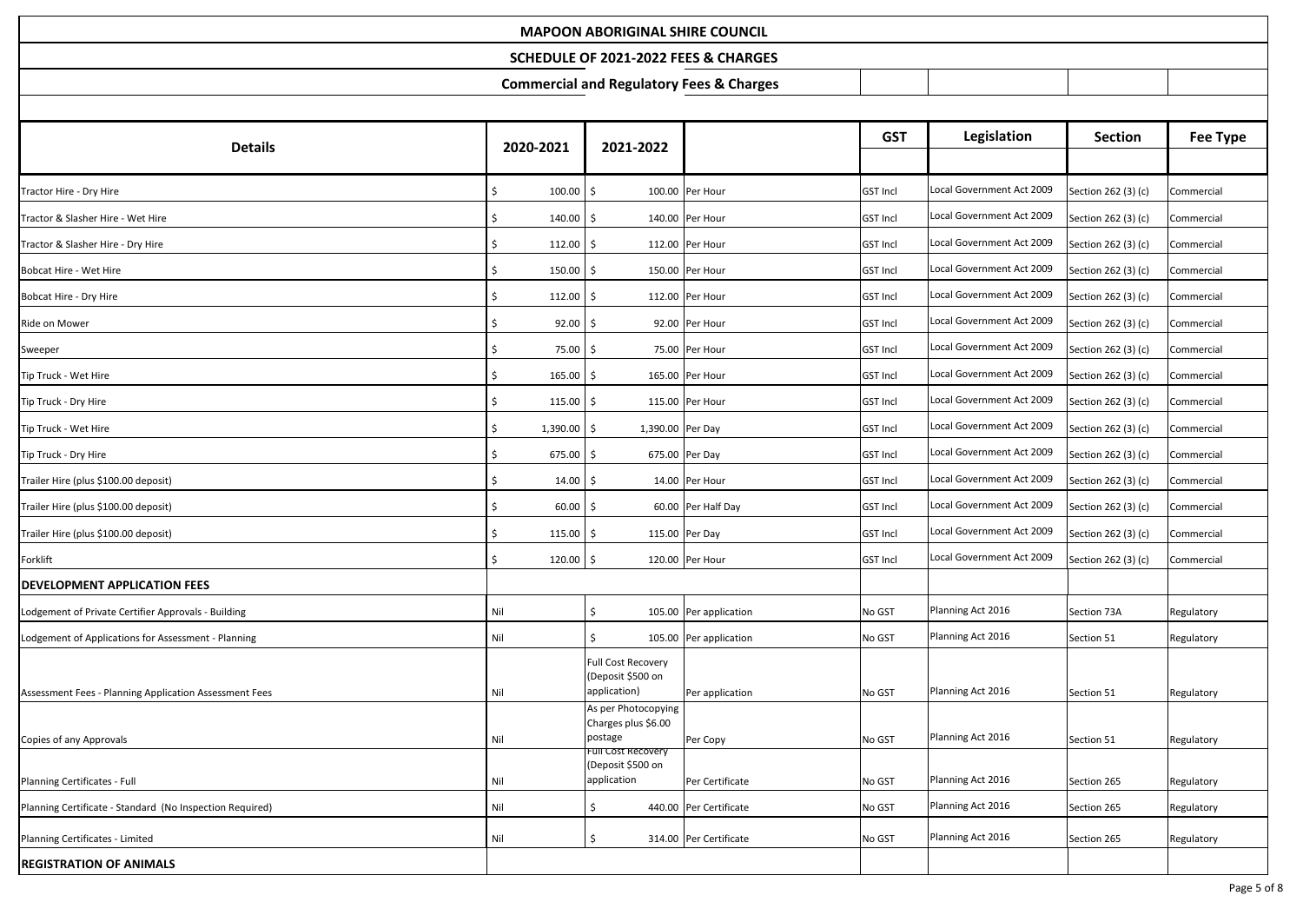### **SCHEDULE OF 2021-2022 FEES & CHARGES**

| <b>Details</b>                                           | 2020-2021      | 2021-2022                                                      |                        | <b>GST</b>      | Legislation               | <b>Section</b>      | <b>Fee Type</b> |
|----------------------------------------------------------|----------------|----------------------------------------------------------------|------------------------|-----------------|---------------------------|---------------------|-----------------|
|                                                          |                |                                                                |                        |                 |                           |                     |                 |
| Tractor Hire - Dry Hire                                  | 100.00<br>S    |                                                                | 100.00 Per Hour        | <b>GST Incl</b> | Local Government Act 2009 | Section 262 (3) (c) | Commercial      |
| Tractor & Slasher Hire - Wet Hire                        | 140.00<br>S    |                                                                | 140.00 Per Hour        | <b>GST Incl</b> | Local Government Act 2009 | Section 262 (3) (c) | Commercial      |
| Tractor & Slasher Hire - Dry Hire                        | 112.00<br>S    |                                                                | 112.00 Per Hour        | <b>GST Incl</b> | Local Government Act 2009 | Section 262 (3) (c) | Commercial      |
| Bobcat Hire - Wet Hire                                   | 150.00<br>S    |                                                                | 150.00 Per Hour        | <b>GST Incl</b> | Local Government Act 2009 | Section 262 (3) (c) | Commercial      |
| Bobcat Hire - Dry Hire                                   | 112.00<br>S    |                                                                | 112.00 Per Hour        | <b>GST Incl</b> | Local Government Act 2009 | Section 262 (3) (c) | Commercial      |
| Ride on Mower                                            | 92.00<br>S     |                                                                | 92.00 Per Hour         | <b>GST Incl</b> | Local Government Act 2009 | Section 262 (3) (c) | Commercial      |
| Sweeper                                                  | 75.00<br>S     |                                                                | 75.00 Per Hour         | <b>GST Incl</b> | Local Government Act 2009 | Section 262 (3) (c) | Commercial      |
| Tip Truck - Wet Hire                                     | 165.00<br>Ŝ.   |                                                                | 165.00 Per Hour        | <b>GST Incl</b> | Local Government Act 2009 | Section 262 (3) (c) | Commercial      |
| Tip Truck - Dry Hire                                     | 115.00<br>S    |                                                                | 115.00 Per Hour        | <b>GST Incl</b> | Local Government Act 2009 | Section 262 (3) (c) | Commercial      |
| Tip Truck - Wet Hire                                     | 1,390.00<br>\$ | 1,390.00 Per Day                                               |                        | <b>GST Incl</b> | Local Government Act 2009 | Section 262 (3) (c) | Commercial      |
| Tip Truck - Dry Hire                                     | 675.00<br>S    |                                                                | 675.00 Per Day         | <b>GST Incl</b> | Local Government Act 2009 | Section 262 (3) (c) | Commercial      |
| Trailer Hire (plus \$100.00 deposit)                     | 14.00<br>S     |                                                                | 14.00 Per Hour         | <b>GST Incl</b> | Local Government Act 2009 | Section 262 (3) (c) | Commercial      |
| Trailer Hire (plus \$100.00 deposit)                     | 60.00<br>S     |                                                                | 60.00 Per Half Day     | <b>GST Incl</b> | Local Government Act 2009 | Section 262 (3) (c) | Commercial      |
| Trailer Hire (plus \$100.00 deposit)                     | 115.00<br>S    |                                                                | 115.00 Per Day         | <b>GST Incl</b> | Local Government Act 2009 | Section 262 (3) (c) | Commercial      |
| Forklift                                                 | 120.00<br>S.   | Ś                                                              | 120.00 Per Hour        | <b>GST Incl</b> | Local Government Act 2009 | Section 262 (3) (c) | Commercial      |
| <b>DEVELOPMENT APPLICATION FEES</b>                      |                |                                                                |                        |                 |                           |                     |                 |
| Lodgement of Private Certifier Approvals - Building      | Nil            | \$                                                             | 105.00 Per application | No GST          | Planning Act 2016         | Section 73A         | Regulatory      |
| Lodgement of Applications for Assessment - Planning      | Nil            | \$                                                             | 105.00 Per application | No GST          | Planning Act 2016         | Section 51          | Regulatory      |
| Assessment Fees - Planning Application Assessment Fees   | Nil            | <b>Full Cost Recovery</b><br>(Deposit \$500 on<br>application) | Per application        | No GST          | Planning Act 2016         | Section 51          | Regulatory      |
|                                                          |                | As per Photocopying<br>Charges plus \$6.00                     |                        |                 |                           |                     |                 |
| Copies of any Approvals                                  | Nil            | postage                                                        | Per Copy               | No GST          | Planning Act 2016         | Section 51          | Regulatory      |
| Planning Certificates - Full                             | Nil            | Fuil Cost Recovery<br>(Deposit \$500 on<br>application         | Per Certificate        | No GST          | Planning Act 2016         | Section 265         | Regulatory      |
| Planning Certificate - Standard (No Inspection Required) | Nil            | S                                                              | 440.00 Per Certificate | No GST          | Planning Act 2016         | Section 265         | Regulatory      |
| Planning Certificates - Limited                          | Nil            | \$                                                             | 314.00 Per Certificate | No GST          | Planning Act 2016         | Section 265         | Regulatory      |
| <b>REGISTRATION OF ANIMALS</b>                           |                |                                                                |                        |                 |                           |                     |                 |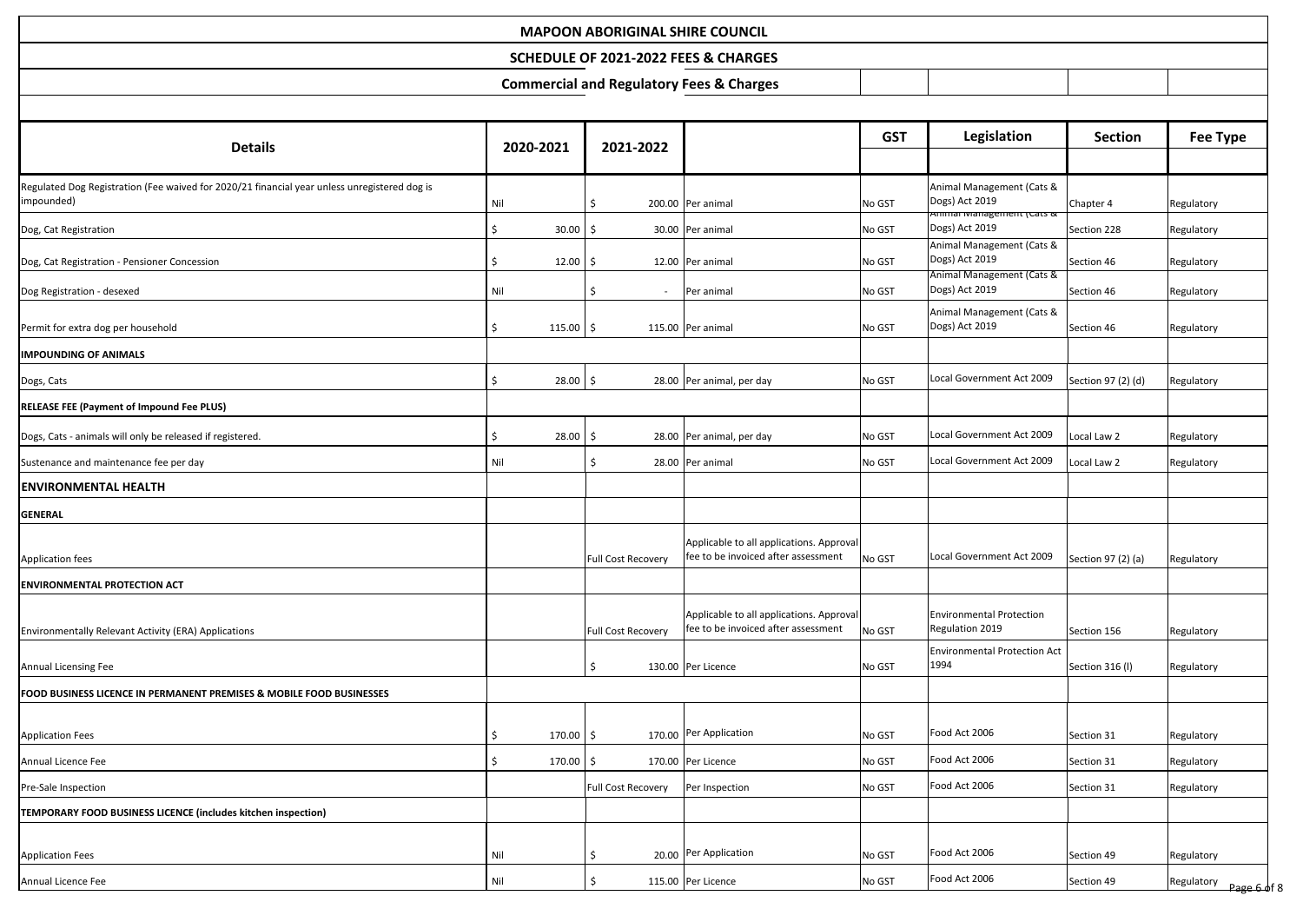# **SCHEDULE OF 2021-2022 FEES & CHARGES**

| <b>Details</b>                                                                                             | 2020-2021              | 2021-2022                 |                                                                                 | <b>GST</b> | Legislation                                               | <b>Section</b>     | Fee Type                  |
|------------------------------------------------------------------------------------------------------------|------------------------|---------------------------|---------------------------------------------------------------------------------|------------|-----------------------------------------------------------|--------------------|---------------------------|
|                                                                                                            |                        |                           |                                                                                 |            |                                                           |                    |                           |
| Regulated Dog Registration (Fee waived for 2020/21 financial year unless unregistered dog is<br>impounded) | Nil                    | S.                        | 200.00 Per animal                                                               | No GST     | Animal Management (Cats &<br>Dogs) Act 2019               | Chapter 4          | Regulatory                |
| Dog, Cat Registration                                                                                      | 30.00<br><sub>S</sub>  | -\$                       | 30.00 Per animal                                                                | No GST     | <u> Animai ivianagement (Cats &amp;</u><br>Dogs) Act 2019 | Section 228        | Regulatory                |
| Dog, Cat Registration - Pensioner Concession                                                               | 12.00<br>S             | \$                        | 12.00 Per animal                                                                | No GST     | Animal Management (Cats &<br>Dogs) Act 2019               | Section 46         | Regulatory                |
| Dog Registration - desexed                                                                                 | Nil                    | S.<br>$\sim$              | Per animal                                                                      | No GST     | Animal Management (Cats &<br>Dogs) Act 2019               | Section 46         | Regulatory                |
| Permit for extra dog per household                                                                         | $115.00$ \$<br>S.      |                           | 115.00 Per animal                                                               | No GST     | Animal Management (Cats &<br>Dogs) Act 2019               | Section 46         | Regulatory                |
| <b>IMPOUNDING OF ANIMALS</b>                                                                               |                        |                           |                                                                                 |            |                                                           |                    |                           |
| Dogs, Cats                                                                                                 | 28.00<br>S             | \$                        | 28.00 Per animal, per day                                                       | No GST     | Local Government Act 2009                                 | Section 97 (2) (d) | Regulatory                |
| <b>RELEASE FEE (Payment of Impound Fee PLUS)</b>                                                           |                        |                           |                                                                                 |            |                                                           |                    |                           |
| Dogs, Cats - animals will only be released if registered.                                                  | 28.00                  | \$                        | 28.00 Per animal, per day                                                       | No GST     | Local Government Act 2009                                 | Local Law 2        | Regulatory                |
| Sustenance and maintenance fee per day                                                                     | Nil                    |                           | 28.00 Per animal                                                                | No GST     | Local Government Act 2009                                 | Local Law 2        | Regulatory                |
| <b>ENVIRONMENTAL HEALTH</b>                                                                                |                        |                           |                                                                                 |            |                                                           |                    |                           |
| <b>GENERAL</b>                                                                                             |                        |                           |                                                                                 |            |                                                           |                    |                           |
| Application fees                                                                                           |                        | <b>Full Cost Recovery</b> | Applicable to all applications. Approval<br>fee to be invoiced after assessment | No GST     | Local Government Act 2009                                 | Section 97 (2) (a) | Regulatory                |
| <b>ENVIRONMENTAL PROTECTION ACT</b>                                                                        |                        |                           |                                                                                 |            |                                                           |                    |                           |
| Environmentally Relevant Activity (ERA) Applications                                                       |                        | <b>Full Cost Recovery</b> | Applicable to all applications. Approval<br>fee to be invoiced after assessment | No GST     | <b>Environmental Protection</b><br>Regulation 2019        | Section 156        | Regulatory                |
| <b>Annual Licensing Fee</b>                                                                                |                        | \$                        | 130.00 Per Licence                                                              | No GST     | <b>Environmental Protection Act</b><br>1994               | Section 316 (I)    | Regulatory                |
| <b>FOOD BUSINESS LICENCE IN PERMANENT PREMISES &amp; MOBILE FOOD BUSINESSES</b>                            |                        |                           |                                                                                 |            |                                                           |                    |                           |
|                                                                                                            |                        |                           |                                                                                 |            |                                                           |                    |                           |
| <b>Application Fees</b>                                                                                    | 170.00<br>-S           | \$                        | 170.00 Per Application                                                          | No GST     | Food Act 2006                                             | Section 31         | Regulatory                |
| Annual Licence Fee                                                                                         | 170.00<br><sub>S</sub> | \$                        | 170.00 Per Licence                                                              | No GST     | Food Act 2006                                             | Section 31         | Regulatory                |
| Pre-Sale Inspection                                                                                        |                        | <b>Full Cost Recovery</b> | Per Inspection                                                                  | No GST     | Food Act 2006                                             | Section 31         | Regulatory                |
| TEMPORARY FOOD BUSINESS LICENCE (includes kitchen inspection)                                              |                        |                           |                                                                                 |            |                                                           |                    |                           |
|                                                                                                            |                        |                           |                                                                                 |            |                                                           |                    |                           |
| <b>Application Fees</b>                                                                                    | Nil                    | \$                        | 20.00 Per Application                                                           | No GST     | Food Act 2006                                             | Section 49         | Regulatory                |
| Annual Licence Fee                                                                                         | Nil                    | \$                        | 115.00 Per Licence                                                              | No GST     | Food Act 2006                                             | Section 49         | Regulatory<br>Page 6 of 8 |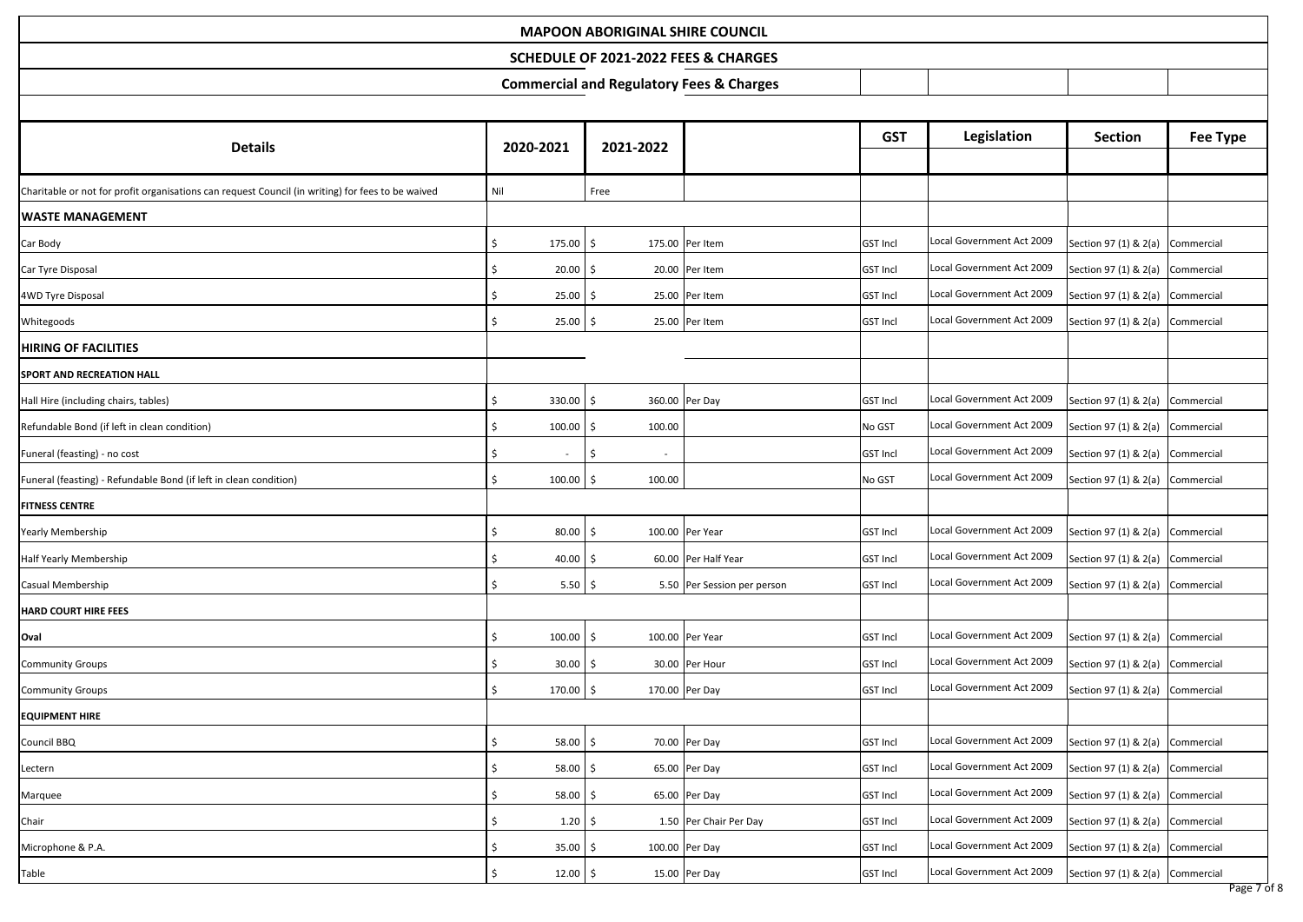# **SCHEDULE OF 2021-2022 FEES & CHARGES**

| <b>Details</b>                                                                                    | 2020-2021           | 2021-2022                |                             | <b>GST</b>      | Legislation               | <b>Section</b>                     | <b>Fee Type</b> |
|---------------------------------------------------------------------------------------------------|---------------------|--------------------------|-----------------------------|-----------------|---------------------------|------------------------------------|-----------------|
| Charitable or not for profit organisations can request Council (in writing) for fees to be waived | Nil                 | Free                     |                             |                 |                           |                                    |                 |
| <b>WASTE MANAGEMENT</b>                                                                           |                     |                          |                             |                 |                           |                                    |                 |
| Car Body                                                                                          | 175.00              |                          | 175.00 Per Item             | <b>GST Incl</b> | Local Government Act 2009 | Section 97 (1) & 2(a) Commercial   |                 |
| Car Tyre Disposal                                                                                 | 20.00               |                          | 20.00 Per Item              | <b>GST Incl</b> | Local Government Act 2009 | Section 97 (1) & 2(a) Commercial   |                 |
| 4WD Tyre Disposal                                                                                 | 25.00               |                          | 25.00 Per Item              | <b>GST Incl</b> | Local Government Act 2009 | Section 97 (1) & 2(a) Commercial   |                 |
| Whitegoods                                                                                        | $25.00$ \$          |                          | 25.00 Per Item              | <b>GST Incl</b> | Local Government Act 2009 | Section 97 (1) & 2(a) Commercial   |                 |
| <b>HIRING OF FACILITIES</b>                                                                       |                     |                          |                             |                 |                           |                                    |                 |
| <b>SPORT AND RECREATION HALL</b>                                                                  |                     |                          |                             |                 |                           |                                    |                 |
| Hall Hire (including chairs, tables)                                                              | 330.00              | Ś                        | 360.00 Per Day              | <b>GST Incl</b> | Local Government Act 2009 | Section 97 (1) & 2(a) Commercial   |                 |
| Refundable Bond (if left in clean condition)                                                      | 100.00              | 100.00                   |                             | No GST          | Local Government Act 2009 | Section 97 (1) & $2(a)$ Commercial |                 |
| Funeral (feasting) - no cost                                                                      |                     | $\overline{\phantom{a}}$ |                             | <b>GST Incl</b> | Local Government Act 2009 | Section 97 (1) & 2(a) Commercial   |                 |
| Funeral (feasting) - Refundable Bond (if left in clean condition)                                 | 100.00<br>\$        | Ŝ.<br>100.00             |                             | No GST          | Local Government Act 2009 | Section 97 (1) & 2(a) Commercial   |                 |
| <b>FITNESS CENTRE</b>                                                                             |                     |                          |                             |                 |                           |                                    |                 |
| Yearly Membership                                                                                 | 80.00               |                          | 100.00 Per Year             | <b>GST Incl</b> | Local Government Act 2009 | Section 97 (1) & 2(a) Commercial   |                 |
| Half Yearly Membership                                                                            | 40.00               |                          | 60.00 Per Half Year         | <b>GST Incl</b> | Local Government Act 2009 | Section 97 (1) & 2(a) Commercial   |                 |
| Casual Membership                                                                                 | $5.50$ \$           |                          | 5.50 Per Session per person | <b>GST Incl</b> | Local Government Act 2009 | Section 97 (1) & 2(a)              | Commercial      |
| <b>HARD COURT HIRE FEES</b>                                                                       |                     |                          |                             |                 |                           |                                    |                 |
| Oval                                                                                              | 100.00<br>\$        |                          | 100.00 Per Year             | <b>GST Incl</b> | Local Government Act 2009 | Section 97 (1) & 2(a)              | Commercial      |
| <b>Community Groups</b>                                                                           | 30.00<br>\$         |                          | 30.00 Per Hour              | <b>GST Incl</b> | Local Government Act 2009 | Section 97 (1) & 2(a) Commercial   |                 |
| <b>Community Groups</b>                                                                           | $170.00$   \$<br>\$ |                          | 170.00 Per Day              | <b>GST Incl</b> | Local Government Act 2009 | Section 97 (1) & 2(a) Commercial   |                 |
| <b>EQUIPMENT HIRE</b>                                                                             |                     |                          |                             |                 |                           |                                    |                 |
| Council BBQ                                                                                       | 58.00<br>S          |                          | 70.00 Per Day               | <b>GST Incl</b> | Local Government Act 2009 | Section 97 (1) & 2(a) Commercial   |                 |
| Lectern                                                                                           | \$<br>58.00         |                          | 65.00 Per Day               | <b>GST Incl</b> | Local Government Act 2009 | Section 97 (1) & 2(a) Commercial   |                 |
| Marquee                                                                                           | 58.00<br>\$         |                          | 65.00 Per Day               | <b>GST Incl</b> | Local Government Act 2009 | Section 97 (1) & $2(a)$ Commercial |                 |
| Chair                                                                                             | $1.20$ \$<br>\$     |                          | 1.50 Per Chair Per Day      | <b>GST Incl</b> | Local Government Act 2009 | Section 97 (1) & 2(a) Commercial   |                 |
| Microphone & P.A.                                                                                 | $\zeta$<br>35.00    |                          | 100.00 Per Day              | <b>GST Incl</b> | Local Government Act 2009 | Section 97 (1) & 2(a) Commercial   |                 |
| Table                                                                                             | $12.00$ \$<br>\$    |                          | 15.00 Per Day               | <b>GST Incl</b> | Local Government Act 2009 | Section 97 (1) & 2(a) Commercial   | DoseZ           |